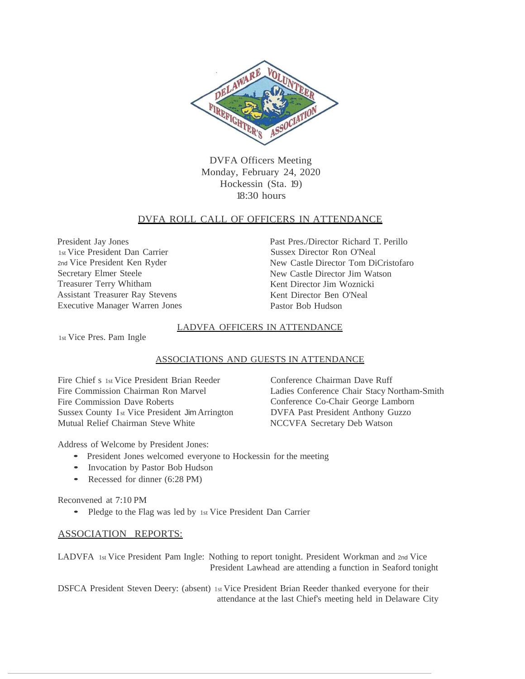

DVFA Officers Meeting Monday, February 24, 2020 Hockessin (Sta. 19) 18:30 hours

### DVFA ROLL CALL OF OFFICERS IN ATTENDANCE

President Jay Jones 1st Vice President Dan Carrier 2nd Vice President Ken Ryder Secretary Elmer Steele Treasurer Terry Whitham Assistant Treasurer Ray Stevens Executive Manager Warren Jones Past Pres./Director Richard T. Perillo Sussex Director Ron O'Neal New Castle Director Tom DiCristofaro New Castle Director Jim Watson Kent Director Jim Woznicki Kent Director Ben O'Neal Pastor Bob Hudson

#### LADVFA OFFICERS IN ATTENDANCE

1st Vice Pres. Pam Ingle

#### ASSOCIATIONS AND GUESTS IN ATTENDANCE

Fire Chief s 1st Vice President Brian Reeder Fire Commission Chairman Ron Marvel Fire Commission Dave Roberts Sussex County Ist Vice President Jim Arrington Mutual Relief Chairman Steve White

Conference Chairman Dave Ruff Ladies Conference Chair Stacy Northam-Smith Conference Co-Chair George Lamborn DVFA Past President Anthony Guzzo NCCVFA Secretary Deb Watson

Address of Welcome by President Jones:

- President Jones welcomed everyone to Hockessin for the meeting
- Invocation by Pastor Bob Hudson
- Recessed for dinner (6:28 PM)

Reconvened at 7:10 PM

• Pledge to the Flag was led by 1st Vice President Dan Carrier

### ASSOCIATION REPORTS:

LADVFA 1st Vice President Pam Ingle: Nothing to report tonight. President Workman and 2nd Vice President Lawhead are attending a function in Seaford tonight

DSFCA President Steven Deery: (absent) 1st Vice President Brian Reeder thanked everyone for their attendance at the last Chief's meeting held in Delaware City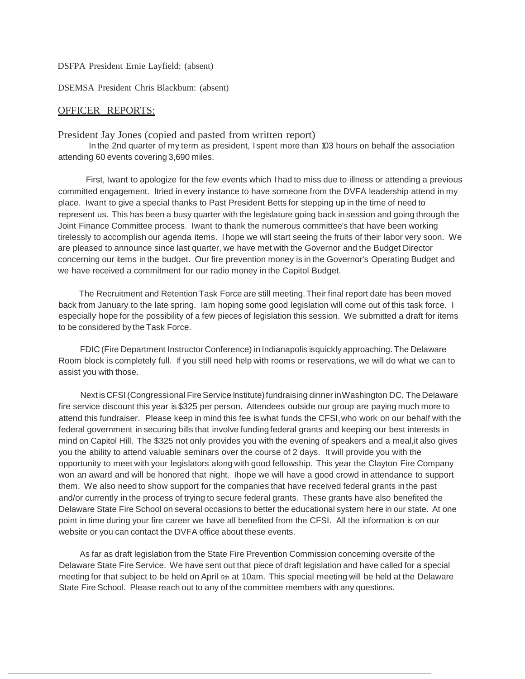DSFPA President Ernie Layfield: (absent)

DSEMSA President Chris Blackbum: (absent)

#### OFFICER REPORTS:

President Jay Jones (copied and pasted from written report)

In the 2nd quarter of my term as president, I spent more than 103 hours on behalf the association attending 60 events covering 3,690 miles.

First, Iwant to apologize for the few events which I had to miss due to illness or attending a previous committed engagement. Itried in every instance to have someone from the DVFA leadership attend in my place. Iwant to give a special thanks to Past President Betts for stepping up in the time of need to represent us. This has been a busy quarter with the legislature going back in session and going through the Joint Finance Committee process. Iwant to thank the numerous committee's that have been working tirelessly to accomplish our agenda items. I hope we will start seeing the fruits of their labor very soon. We are pleased to announce since last quarter, we have met with the Governor and the Budget Director concerning our items in the budget. Our fire prevention money is in the Governor's Operating Budget and we have received a commitment for our radio money in the Capitol Budget.

The Recruitment and Retention Task Force are still meeting. Their final report date has been moved back from January to the late spring. Iam hoping some good legislation will come out of this task force. I especially hope for the possibility of a few pieces of legislation this session. We submitted a draft for items to be considered by the Task Force.

FDIC (Fire Department Instructor Conference) in Indianapolis isquickly approaching. The Delaware Room block is completely full. If you still need help with rooms or reservations, we will do what we can to assist you with those.

Next is CFSI (Congressional Fire Service Institute) fundraising dinner in Washington DC. The Delaware fire service discount this year is \$325 per person. Attendees outside our group are paying much more to attend this fundraiser. Please keep in mind this fee iswhat funds the CFSI,who work on our behalf with the federal government in securing bills that involve funding federal grants and keeping our best interests in mind on Capitol Hill. The \$325 not only provides you with the evening of speakers and a meal,it also gives you the ability to attend valuable seminars over the course of 2 days. It will provide you with the opportunity to meet with your legislators along with good fellowship. This year the Clayton Fire Company won an award and will be honored that night. Ihope we will have a good crowd in attendance to support them. We also need to show support for the companies that have received federal grants in the past and/or currently in the process of trying to secure federal grants. These grants have also benefited the Delaware State Fire School on several occasions to better the educational system here in our state. At one point in time during your fire career we have all benefited from the CFSI. All the information is on our website or you can contact the DVFA office about these events.

As far as draft legislation from the State Fire Prevention Commission concerning oversite of the Delaware State Fire Service. We have sent out that piece of draft legislation and have called for a special meeting for that subject to be held on April 5th at 10am. This special meeting will be held at the Delaware State Fire School. Please reach out to any of the committee members with any questions.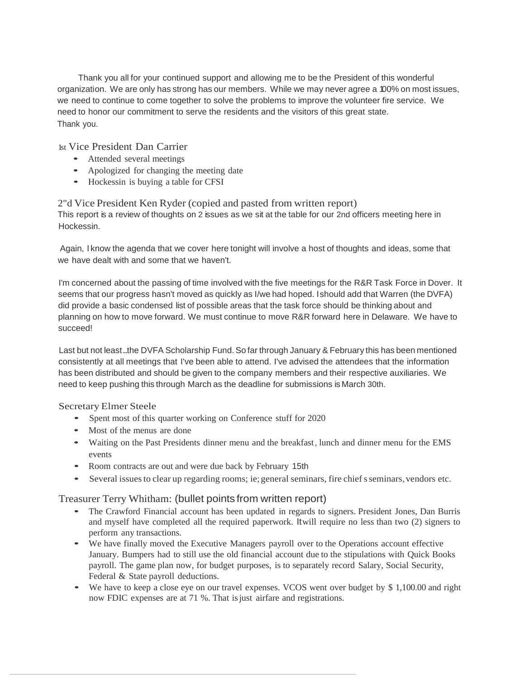Thank you all for your continued support and allowing me to be the President of this wonderful organization. We are only has strong has our members. While we may never agree a 100% on most issues, we need to continue to come together to solve the problems to improve the volunteer fire service. We need to honor our commitment to serve the residents and the visitors of this great state. Thank you.

1st Vice President Dan Carrier

- Attended several meetings
- Apologized for changing the meeting date
- Hockessin is buying a table for CFSI

2"d Vice President Ken Ryder (copied and pasted from written report) This report is a review of thoughts on 2 issues as we sit at the table for our 2nd officers meeting here in Hockessin.

Again, I know the agenda that we cover here tonight will involve a host of thoughts and ideas, some that we have dealt with and some that we haven't.

I'm concerned about the passing of time involved with the five meetings for the R&R Task Force in Dover. It seems that our progress hasn't moved as quickly as I/we had hoped. Ishould add that Warren (the DVFA) did provide a basic condensed list of possible areas that the task force should be thinking about and planning on how to move forward. We must continue to move R&R forward here in Delaware. We have to succeed!

Last but not least...the DVFA Scholarship Fund. So far through January & February this has been mentioned consistently at all meetings that I've been able to attend. I've advised the attendees that the information has been distributed and should be given to the company members and their respective auxiliaries. We need to keep pushing this through March as the deadline for submissions is March 30th.

### Secretary Elmer Steele

- Spent most of this quarter working on Conference stuff for 2020
- Most of the menus are done
- Waiting on the Past Presidents dinner menu and the breakfast, lunch and dinner menu for the EMS events
- Room contracts are out and were due back by February 15th
- Several issues to clear up regarding rooms; ie; general seminars, fire chief s seminars, vendors etc.

# Treasurer Terry Whitham: (bullet points from written report)

- The Crawford Financial account has been updated in regards to signers. President Jones, Dan Burris and myself have completed all the required paperwork. Itwill require no less than two (2) signers to perform any transactions.
- We have finally moved the Executive Managers payroll over to the Operations account effective January. Bumpers had to still use the old financial account due to the stipulations with Quick Books payroll. The game plan now, for budget purposes, is to separately record Salary, Social Security, Federal & State payroll deductions.
- We have to keep a close eye on our travel expenses. VCOS went over budget by \$1,100.00 and right now FDIC expenses are at 71 %. That isjust airfare and registrations.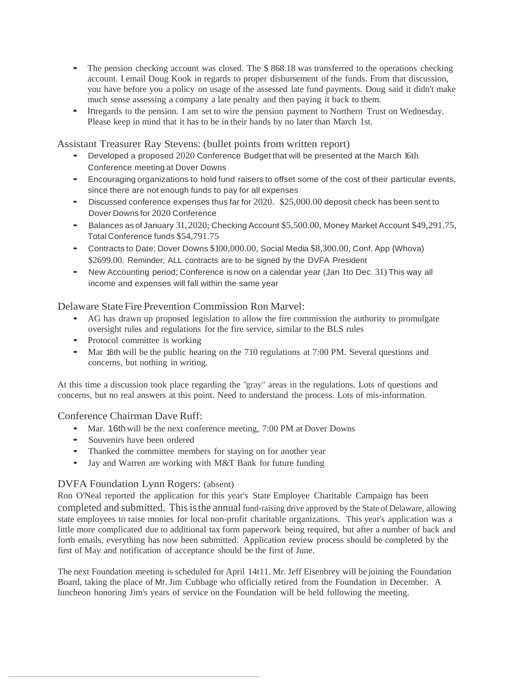- The pension checking account was closed. The \$868.18 was transferred to the operations checking account. I email Doug Kook in regards to proper disbursement of the funds. From that discussion, you have before you a policy on usage of the assessed late fund payments. Doug said it didn't make much sense assessing a company a late penalty and then paying it back to them.
- Inregards to the pension. I am set to wire the pension payment to Northern Trust on Wednesday. Please keep in mind that it has to be in their hands by no later than March 1st.

Assistant Treasurer Ray Stevens: (bullet points from written report)

- Developed <sup>a</sup> proposed <sup>2020</sup> Conference Budget that will be presented at the March 16th Conference meeting at Dover Downs
- Encouraging organizations to hold fund raisers to offset some of the cost of their particular events, since there are not enough funds to pay for all expenses
- Discussed conference expenses thus far for 2020. \$25,000.00 deposit check has been sent to Dover Downs for 2020 Conference
- Balances as of January 31,2020; Checking Account \$5,500.00, Money Market Account \$49,291.75, Total Conference funds \$54,791.75
- Contracts to Date; Dover Downs \$100,000.00, Social Media \$8,300.00, Conf. App {Whova) \$2699.00. Reminder; ALL contracts are to be signed by the DVFA President
- New Accounting period; Conference is now on <sup>a</sup> calendar year (Jan <sup>1</sup>to Dec. 31) This way all income and expenses will fall within the same year

### Delaware State Fire Prevention Commission Ron Marvel:

- AG has drawn up proposed legislation to allow the fire commission the authority to promulgate oversight rules and regulations for the fire service, similar to the BLS rules
- Protocol committee is working
- Mar 16th will be the public hearing on the <sup>710</sup> regulations at 7:00 PM. Several questions and concerns, but nothing in writing.

At this time a discussion took place regarding the "gray" areas in the regulations. Lots of questions and concerns, but no real answers at this point. Need to understand the process. Lots of mis-information.

Conference Chairman Dave Ruff:

- Mar. 16th will be the next conference meeting, 7:00 PM at Dover Downs
- Souvenirs have been ordered
- Thanked the committee members for staying on for another year
- Jay and Warren are working with M&T Bank for future funding

### DVFA Foundation Lynn Rogers: (absent)

Ron O'Neal reported the application for this year's State Employee Charitable Campaign has been completed and submitted. This is the annual fund-raising drive approved by the State of Delaware, allowing state employees to raise monies for local non-profit charitable organizations. This year's application was a little more complicated due to additional tax form paperwork being required, but after a number of back and forth emails, everything has now been submitted. Application review process should be completed by the first of May and notification of acceptance should be the first of June.

The next Foundation meeting is scheduled for April 14t11. Mr. Jeff Eisenbrey will be joining the Foundation Board, taking the place of Mr.Jim Cubbage who officially retired from the Foundation in December. A luncheon honoring Jim's years of service on the Foundation will be held following the meeting.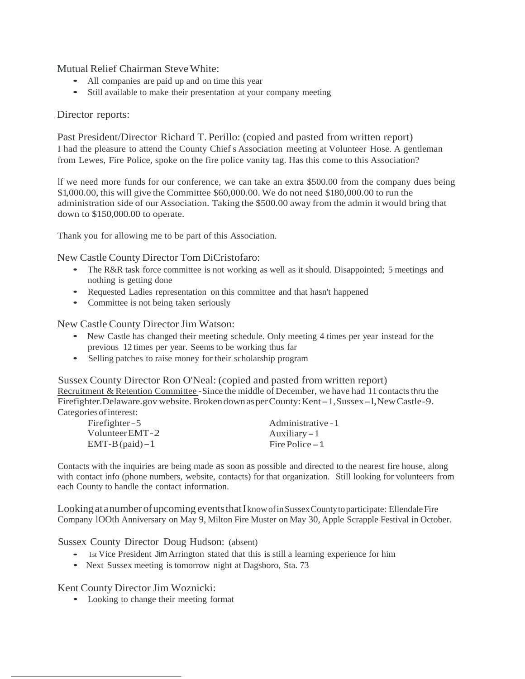Mutual Relief Chairman SteveWhite:

- All companies are paid up and on time this year
- Still available to make their presentation at your company meeting

## Director reports:

Past President/Director Richard T. Perillo: (copied and pasted from written report) I had the pleasure to attend the County Chief s Association meeting at Volunteer Hose. A gentleman from Lewes, Fire Police, spoke on the fire police vanity tag. Has this come to this Association?

lf we need more funds for our conference, we can take an extra \$500.00 from the company dues being \$1,000.00, this will give the Committee \$60,000.00. We do not need \$180,000.00 to run the administration side of our Association. Taking the \$500.00 away from the admin it would bring that down to \$150,000.00 to operate.

Thank you for allowing me to be part of this Association.

New CastleCounty Director Tom DiCristofaro:

- The R&R task force committee is not working as well as it should. Disappointed; 5 meetings and nothing is getting done
- Requested Ladies representation on this committee and that hasn't happened
- Committee is not being taken seriously

New Castle County Director Jim Watson:

- New Castle has changed their meeting schedule. Only meeting 4 times per year instead for the previous 12 times per year. Seems to be working thus far
- Selling patches to raise money for their scholarship program

Sussex County Director Ron O'Neal: (copied and pasted from written report) Recruitment & Retention Committee -Since the middle of December, we have had 11 contacts thru the Firefighter.Delaware.gov website. Brokendown as per County: Kent-1, Sussex-1, New Castle-9. Categoriesofinterest: Firefighter-5

| Firefighter $-5$   | Administrative - 1 |
|--------------------|--------------------|
| Volunteer EMT-2    | Auxiliary $-1$     |
| $EMT-B$ (paid) – 1 | Fire Police – 1    |

Contacts with the inquiries are being made as soon as possible and directed to the nearest fire house, along with contact info (phone numbers, website, contacts) for that organization. Still looking for volunteers from each County to handle the contact information.

Looking at a number of upcoming events that I know of in Sussex County to participate: Ellendale Fire Company lOOth Anniversary on May 9, Milton Fire Muster on May 30, Apple Scrapple Festival in October.

Sussex County Director Doug Hudson: (absent)

- 1st Vice President Jim Arrington stated that this is still a learning experience for him
- Next Sussex meeting is tomorrow night at Dagsboro, Sta. 73

# Kent County Director Jim Woznicki:

• Looking to change their meeting format